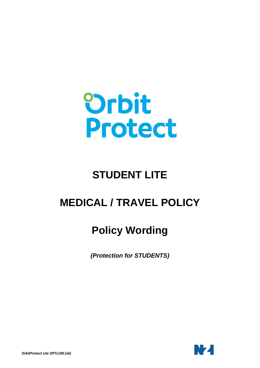

# **STUDENT LITE**

## **MEDICAL / TRAVEL POLICY**

# **Policy Wording**

*(Protection for STUDENTS)*

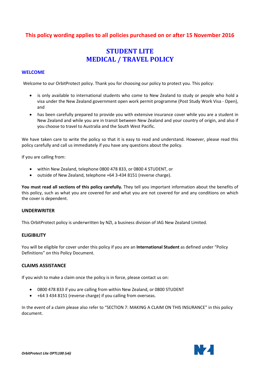### **This policy wording applies to all policies purchased on or after 15 November 2016**

## **STUDENT LITE MEDICAL / TRAVEL POLICY**

#### <span id="page-1-0"></span>**WELCOME**

Welcome to our OrbitProtect policy. Thank you for choosing our policy to protect you. This policy:

- is only available to international students who come to New Zealand to study or people who hold a visa under the New Zealand government open work permit programme (Post Study Work Visa - Open), and
- has been carefully prepared to provide you with extensive insurance cover while you are a student in New Zealand and while you are in transit between New Zealand and your country of origin, and also if you choose to travel to Australia and the South West Pacific.

We have taken care to write the policy so that it is easy to read and understand. However, please read this policy carefully and call us immediately if you have any questions about the policy.

If you are calling from:

- within New Zealand, telephone 0800 478 833, or 0800 4 STUDENT, or
- outside of New Zealand, telephone +64 3-434 8151 (reverse charge).

**You must read all sections of this policy carefully.** They tell you important information about the benefits of this policy, such as what you are covered for and what you are not covered for and any conditions on which the cover is dependent.

#### **UNDERWRITER**

This OrbitProtect policy is underwritten by NZI, a business division of IAG New Zealand Limited.

#### **ELIGIBILITY**

You will be eligible for cover under this policy if you are an **International Student** as defined under "Policy Definitions" on this Policy Document.

#### **CLAIMS ASSISTANCE**

If you wish to make a claim once the policy is in force, please contact us on:

- 0800 478 833 if you are calling from within New Zealand, or 0800 STUDENT
- +64 3 434 8151 (reverse charge) if you calling from overseas.

In the event of a claim please also refer to "SECTION 7: MAKING A CLAIM ON THIS INSURANCE" in this policy document.

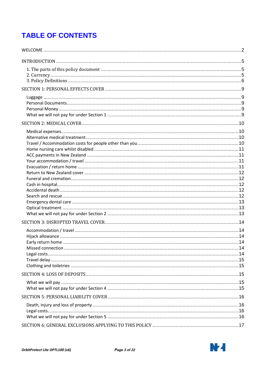## **TABLE OF CONTENTS**

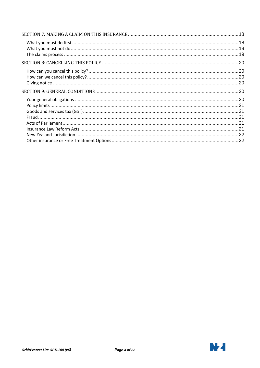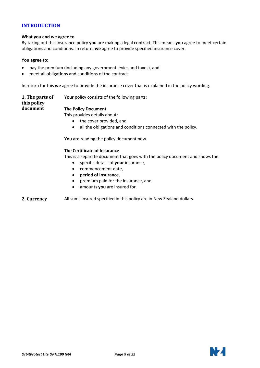#### <span id="page-4-0"></span>**INTRODUCTION**

#### **What you and we agree to**

By taking out this insurance policy **you** are making a legal contract. This means **you** agree to meet certain obligations and conditions. In return, **we** agree to provide specified insurance cover.

#### **You agree to:**

- pay the premium (including any government levies and taxes), and
- meet all obligations and conditions of the contract.

In return for this **we** agree to provide the insurance cover that is explained in the policy wording.

<span id="page-4-1"></span>**1. The parts of this policy document Your** policy consists of the following parts: **The Policy Document**

This provides details about:

- the cover provided, and
- all the obligations and conditions connected with the policy.

**You** are reading the policy document now.

#### **The Certificate of Insurance**

This is a separate document that goes with the policy document and shows the:

- specific details of **your** insurance,
- commencement date,
- **period of insurance**,
- premium paid for the insurance, and
- amounts **you** are insured for.
- <span id="page-4-2"></span>**2. Currency** All sums insured specified in this policy are in New Zealand dollars.

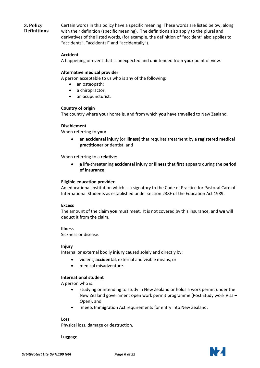### <span id="page-5-0"></span>**3. Policy Definitions**

Certain words in this policy have a specific meaning. These words are listed below, along with their definition (specific meaning). The definitions also apply to the plural and derivatives of the listed words, (for example, the definition of "accident" also applies to "accidents", "accidental" and "accidentally").

#### **Accident**

A happening or event that is unexpected and unintended from **your** point of view.

#### **Alternative medical provider**

A person acceptable to us who is any of the following:

- an osteopath;
- a chiropractor;
- an acupuncturist.

#### **Country of origin**

The country where **your** home is, and from which **you** have travelled to New Zealand.

#### **Disablement**

When referring to **you:**

• an **accidental injury** (or **illness**) that requires treatment by a **registered medical practitioner** or dentist, and

When referring to a **relative**:

• a life-threatening **accidental injury** or **illness** that first appears during the **period of insurance**.

#### **Eligible education provider**

An educational institution which is a signatory to the Code of Practice for Pastoral Care of International Students as established under section 238F of the Education Act 1989.

#### **Excess**

The amount of the claim **you** must meet. It is not covered by this insurance, and **we** will deduct it from the claim.

#### **Illness**

Sickness or disease.

#### **Injury**

Internal or external bodily **injury** caused solely and directly by:

- violent, **accidental**, external and visible means, or
- medical misadventure.

#### **International student**

A person who is:

- studying or intending to study in New Zealand or holds a work permit under the New Zealand government open work permit programme (Post Study work Visa – Open), and
- meets Immigration Act requirements for entry into New Zealand.

#### **Loss**

Physical loss, damage or destruction.

**Luggage**

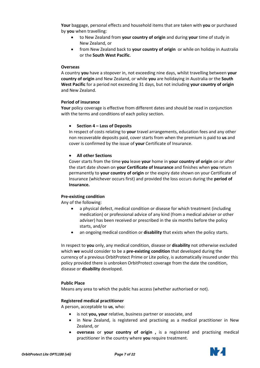**Your** baggage, personal effects and household items that are taken with **you** or purchased by **you** when travelling:

- to New Zealand from **your country of origin** and during **your** time of study in New Zealand, or
- from New Zealand back to **your country of origin** or while on holiday in Australia or the **South West Pacific**.

#### **Overseas**

A country **you** have a stopover in, not exceeding nine days, whilst travelling between **your country of origin** and New Zealand, or while **you** are holidaying in Australia or the **South West Pacific** for a period not exceeding 31 days, but not including **your country of origin** and New Zealand.

#### **Period of insurance**

**Your** policy coverage is effective from different dates and should be read in conjunction with the terms and conditions of each policy section.

#### • **Section 4 – Loss of Deposits**

In respect of costs relating to **your** travel arrangements, education fees and any other non recoverable deposits paid, cover starts from when the premium is paid to **us** and cover is confirmed by the issue of **your** Certificate of Insurance.

#### • **All other Sections**

Cover starts from the time **you** leave **your** home in **your country of origin** on or after the start date shown on **your Certificate of Insurance** and finishes when **you** return permanently to **your country of origin** or the expiry date shown on your Certificate of Insurance (whichever occurs first) and provided the loss occurs during the **period of Insurance.**

#### **Pre-existing condition**

Any of the following:

- a physical defect, medical condition or disease for which treatment (including medication) or professional advice of any kind (from a medical adviser or other adviser) has been received or prescribed in the six months before the policy starts, and/or
- an ongoing medical condition or **disability** that exists when the policy starts.

In respect to **you** only, any medical condition, disease or **disability** not otherwise excluded which **we** would consider to be a **pre-existing condition** that developed during the currency of a previous OrbitProtect Prime or Lite policy, is automatically insured under this policy provided there is unbroken OrbitProtect coverage from the date the condition, disease or **disability** developed.

#### **Public Place**

Means any area to which the public has access (whether authorised or not).

#### **Registered medical practitioner**

A person, acceptable to **us**, who:

- is not **you, your** relative, business partner or associate, and
- in New Zealand, is registered and practising as a medical practitioner in New Zealand, or
- **overseas** or **your country of origin ,** is a registered and practising medical practitioner in the country where **you** require treatment.

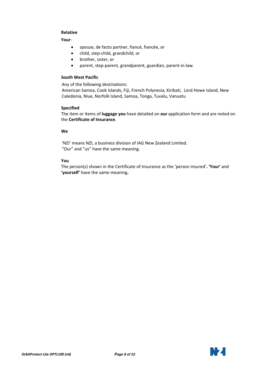#### **Relative**

**Your**:

- spouse, de facto partner, fiancé, fiancée, or
- child, step-child, grandchild, or
- brother, sister, or
- parent, step-parent, grandparent, guardian, parent-in-law.

#### **South West Pacific**

Any of the following destinations:

American Samoa, Cook Islands, Fiji, French Polynesia, Kiribati, Lord Howe Island, New Caledonia, Niue, Norfolk Island, Samoa, Tonga, Tuvalu, Vanuatu

#### **Specified**

The item or items of **luggage you** have detailed on **our** application form and are noted on the **Certificate of Insurance**.

#### **We**

'NZI' means NZI, a business division of IAG New Zealand Limited. "Our" and "us" have the same meaning.

#### **You**

The person(s) shown in the Certificate of Insurance as the 'person insured'**. 'Your'** and **'yourself'** have the same meaning**.**

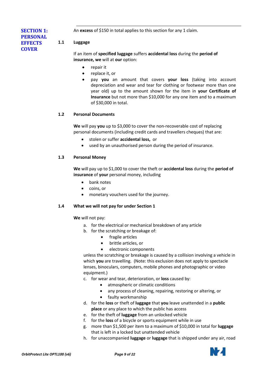An **excess** of \$150 in total applies to this section for any 1 claim.

#### **1.1 Luggage**

**COVER**

<span id="page-8-0"></span>**SECTION 1: PERSONAL EFFECTS** 

> <span id="page-8-1"></span>If an item of **specified luggage** suffers **accidental loss** during the **period of insurance, we** will at **our** option:

- repair it
- replace it, or
- pay **you** an amount that covers **your loss** (taking into account depreciation and wear and tear for clothing or footwear more than one year old) up to the amount shown for the item in **your Certificate of Insurance** but not more than \$10,000 for any one item and to a maximum of \$30,000 in total.

#### **1.2 Personal Documents**

<span id="page-8-2"></span>**We** will pay **you** up to \$3,000 to cover the non-recoverable cost of replacing personal documents (including credit cards and travellers cheques) that are:

- stolen or suffer **accidental loss,** or
- used by an unauthorised person during the period of insurance.

### **1.3 Personal Money**

<span id="page-8-3"></span>**We** will pay up to \$1,000 to cover the theft or **accidental loss** during the **period of insurance** of **your** personal money, including

- bank notes
- coins, or
- monetary vouchers used for the journey.

#### **1.4 What we will not pay for under Section 1**

<span id="page-8-4"></span>**We** will not pay:

- a. for the electrical or mechanical breakdown of any article
- b. for the scratching or breakage of:
	- fragile articles
	- brittle articles, or
	- electronic components

unless the scratching or breakage is caused by a collision involving a vehicle in which **you** are travelling. (Note: this exclusion does not apply to spectacle lenses, binoculars, computers, mobile phones and photographic or video equipment.)

- c. for wear and tear, deterioration, or **loss** caused by:
	- atmospheric or climatic conditions
	- any process of cleaning, repairing, restoring or altering, or
	- faulty workmanship
- d. for the **loss** or theft of **luggage** that **you** leave unattended in a **public place** or any place to which the public has access
- e. for the theft of **luggage** from an unlocked vehicle
- f. for the **loss** of a bicycle or sports equipment while in use
- g. more than \$1,500 per item to a maximum of \$10,000 in total for **luggage** that is left in a locked but unattended vehicle
- h. for unaccompanied **luggage** or **luggage** that is shipped under any air, road

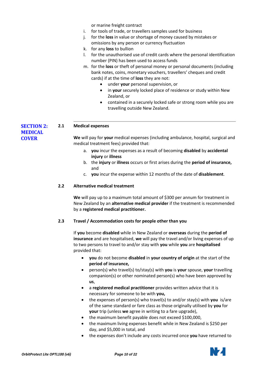or marine freight contract

- i. for tools of trade, or travellers samples used for business
- j. for the **loss** in value or shortage of money caused by mistakes or omissions by any person or currency fluctuation
- k. for any **loss** to bullion
- l. for the unauthorised use of credit cards where the personal identification number (PIN) has been used to access funds
- m. for the **loss** or theft of personal money or personal documents (including bank notes, coins, monetary vouchers, travellers' cheques and credit cards) if at the time of **loss** they are not:
	- under **your** personal supervision, or
	- in **your** securely locked place of residence or study within New Zealand, or
	- contained in a securely locked safe or strong room while you are travelling outside New Zealand.

#### **2.1 Medical expenses**

<span id="page-9-0"></span>**SECTION 2: MEDICAL COVER**

<span id="page-9-1"></span>**We** will pay for **your** medical expenses (including ambulance, hospital, surgical and medical treatment fees) provided that:

- a. **you** incur the expenses as a result of becoming **disabled** by **accidental injury** or **illness**
- b. the **injury** or **illness** occurs or first arises during the **period of insurance,** and
- c. **you** incur the expense within 12 months of the date of **disablement**.

#### **2.2 Alternative medical treatment**

<span id="page-9-2"></span>**We** will pay up to a maximum total amount of \$300 per annum for treatment in New Zealand by an **alternative medical provider** if the treatment is recommended by a **registered medical practitioner.**

#### **2.3 Travel / Accommodation costs for people other than you**

<span id="page-9-3"></span>If **you** become **disabled** while in New Zealand or **overseas** during the **period of insurance** and are hospitalised, **we** will pay the travel and/or living expenses of up to two persons to travel to and/or stay with **you** while **you** are **hospitalised** provided that:

- **you** do not become **disabled** in **your country of origin** at the start of the **period of insurance,**
- person(s) who travel(s) to/stay(s) with **you** is **your** spouse, **your** travelling companion(s) or other nominated person(s) who have been approved by **us**,
- a **registered medical practitioner** provides written advice that it is necessary for someone to be with **you,**
- the expenses of person(s) who travel(s) to and/or stay(s) with **you** is/are of the same standard or fare class as those originally utilised by **you** for **your** trip (unless **we** agree in writing to a fare upgrade),
- the maximum benefit payable does not exceed \$100,000,
- the maximum living expenses benefit while in New Zealand is \$250 per day, and \$5,000 in total, and
- the expenses don't include any costs incurred once **you** have returned to

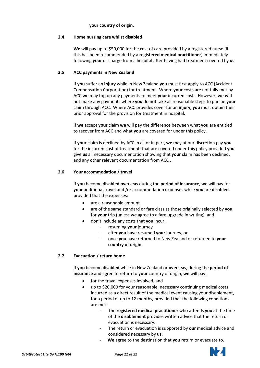#### **your country of origin.**

#### **2.4 Home nursing care whilst disabled**

<span id="page-10-0"></span>**We** will pay up to \$50,000 for the cost of care provided by a registered nurse (if this has been recommended by a **registered medical practitioner**) immediately following **your** discharge from a hospital after having had treatment covered by **us**.

#### **2.5 ACC payments in New Zealand**

<span id="page-10-1"></span>If **you** suffer an **injury** while in New Zealand **you** must first apply to ACC (Accident Compensation Corporation) for treatment. Where **your** costs are not fully met by ACC **we** may top up any payments to meet **your** incurred costs. However, **we will**  not make any payments where **you** do not take all reasonable steps to pursue **your**  claim through ACC. Where ACC provides cover for an **injury, you** must obtain their prior approval for the provision for treatment in hospital.

If **we** accept **your** claim **we** will pay the difference between what **you** are entitled to recover from ACC and what **you** are covered for under this policy.

If **your** claim is declined by ACC in all or in part, **we** may at our discretion pay **you**  for the incurred cost of treatment that are covered under this policy provided **you**  give **us** all necessary documentation showing that **your** claim has been declined, and any other relevant documentation from ACC .

#### **2.6 Your accommodation / travel**

<span id="page-10-2"></span>If **you** become **disabled overseas** during the **period of insurance**, **we** will pay for **your** additional travel and /or accommodation expenses while **you** are **disabled**, provided that the expenses:

- are a reasonable amount
- are of the same standard or fare class as those originally selected by **you** for **your** trip (unless **we** agree to a fare upgrade in writing), and
	- don't include any costs that **you** incur:
		- resuming **your** journey
		- after **you** have resumed **your** journey, or
		- once **you** have returned to New Zealand or returned to **your country of origin**.

#### **2.7 Evacuation / return home**

<span id="page-10-3"></span>If **you** become **disabled** while in New Zealand or **overseas**, during the **period of insurance** and agree to return to **your** country of origin, **we** will pay:

- for the travel expenses involved, and
- up to \$20,000 for your reasonable, necessary continuing medical costs incurred as a direct result of the medical event causing your disablement, for a period of up to 12 months, provided that the following conditions are met:
	- The **registered medical practitioner** who attends **you** at the time of the **disablement** provides written advice that the return or evacuation is necessary.
	- The return or evacuation is supported by **our** medical advice and considered necessary by **us.**
	- We agree to the destination that you return or evacuate to.

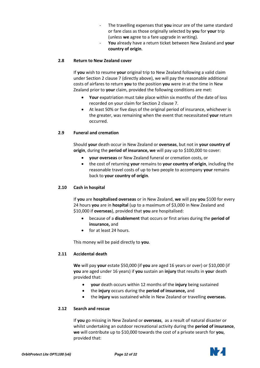- The travelling expenses that you incur are of the same standard or fare class as those originally selected by **you** for **your** trip (unless **we** agree to a fare upgrade in writing).
- **You** already have a return ticket between New Zealand and **your country of origin**.

#### **2.8 Return to New Zealand cover**

<span id="page-11-0"></span>If **you** wish to resume **your** original trip to New Zealand following a valid claim under Section 2 clause 7 (directly above), we will pay the reasonable additional costs of airfares to return **you** to the position **you** were in at the time in New Zealand prior to **your** claim, provided the following conditions are met:

- **Your** expatriation must take place within six months of the date of loss recorded on your claim for Section 2 clause 7.
- At least 50% or five days of the original period of insurance, whichever is the greater, was remaining when the event that necessitated **your** return occurred.

#### **2.9 Funeral and cremation**

<span id="page-11-1"></span>Should **your** death occur in New Zealand or **overseas**, but not in **your country of origin**, during the **period of insurance, we** will pay up to \$100,000 to cover:

- **your overseas** or New Zealand funeral or cremation costs, or
- the cost of returning **your** remains to **your country of origin**, including the reasonable travel costs of up to two people to accompany **your** remains back to **your country of origin**.

#### **2.10 Cash in hospital**

<span id="page-11-2"></span>If **you** are **hospitalised overseas** or in New Zealand, **we** will pay **you** \$100 for every 24 hours **you** are in **hospital** (up to a maximum of \$3,000 in New Zealand and \$10,000 if **overseas**), provided that **you** are hospitalised:

- because of a **disablement** that occurs or first arises during the **period of insurance,** and
- for at least 24 hours.

<span id="page-11-3"></span>This money will be paid directly to **you**.

#### **2.11 Accidental death**

**We** will pay **your** estate \$50,000 (if **you** are aged 16 years or over) or \$10,000 (if **you** are aged under 16 years) if **you** sustain an **injury** that results in **you**r death provided that:

- **your** death occurs within 12 months of the **injury** being sustained
- the **injury** occurs during the **period of insurance,** and
- the **injury** was sustained while in New Zealand or travelling **overseas.**

#### **2.12 Search and rescue**

<span id="page-11-4"></span>If **you** go missing in New Zealand or **overseas**, as a result of natural disaster or whilst undertaking an outdoor recreational activity during the **period of insurance**, **we** will contribute up to \$10,000 towards the cost of a private search for **you**, provided that:

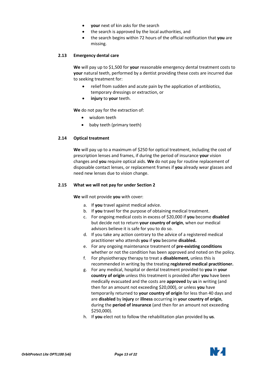- **your** next of kin asks for the search
- the search is approved by the local authorities, and
- the search begins within 72 hours of the official notification that **you** are missing.

#### **2.13 Emergency dental care**

<span id="page-12-0"></span>**We** will pay up to \$1,500 for **your** reasonable emergency dental treatment costs to **your** natural teeth, performed by a dentist providing these costs are incurred due to seeking treatment for:

- relief from sudden and acute pain by the application of antibiotics, temporary dressings or extraction, or
- **injury** to **your** teeth.

**We** do not pay for the extraction of:

- wisdom teeth
- baby teeth (primary teeth)

#### **2.14 Optical treatment**

<span id="page-12-1"></span>**We** will pay up to a maximum of \$250 for optical treatment, including the cost of prescription lenses and frames, if during the period of insurance **your** vision changes and **you** require optical aids. **We** do not pay for routine replacement of disposable contact lenses, or replacement frames if **you** already wear glasses and need new lenses due to vision change.

#### **2.15 What we will not pay for under Section 2**

<span id="page-12-2"></span>**We** will not provide **you** with cover:

- a. If **you** travel against medical advice.
- b. If **you** travel for the purpose of obtaining medical treatment.
- c. For ongoing medical costs in excess of \$20,000 if **you** become **disabled**  but decide not to return **your country of origin**, when our medical advisors believe it is safe for you to do so.
- d. If you take any action contrary to the advice of a registered medical practitioner who attends **you** if **you** become **disabled.**
- e. For any ongoing maintenance treatment of **pre-existing conditions** whether or not the condition has been approved and noted on the policy.
- f. For physiotherapy therapy to treat a **disablement,** unless this is recommended in writing by the treating **registered medical practitioner.**
- g. For any medical, hospital or dental treatment provided to **you** in **your country of origin** unless this treatment is provided after **you** have been medically evacuated and the costs are **approved** by **us** in writing (and then for an amount not exceeding \$20,000), or unless **you** have temporarily returned to **your country of origin** for less than 40 days and are **disabled** by **injury** or **illness** occurring in **your country of origin**, during the **period of insurance** (and then for an amount not exceeding \$250,000).
- h. If **you** elect not to follow the rehabilitation plan provided by **us**.

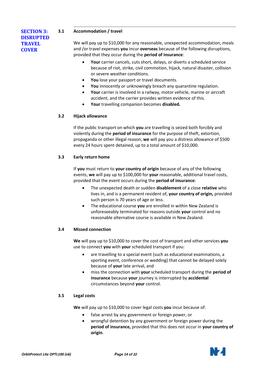#### **3.1 Accommodation / travel**

<span id="page-13-0"></span>**SECTION 3: DISRUPTED TRAVEL COVER**

<span id="page-13-1"></span>We will pay up to \$10,000 for any reasonable, unexpected accommodation, meals and /or travel expenses **you** incur **overseas** because of the following disruptions, provided that they occur during the **period of insurance**:

- **Your** carrier cancels, cuts short, delays, or diverts a scheduled service because of riot, strike, civil commotion, hijack, natural disaster, collision or severe weather conditions.
- **You** lose your passport or travel documents.
- **You** innocently or unknowingly breach any quarantine regulation.
- Your carrier is involved in a railway, motor vehicle, marine or aircraft accident, and the carrier provides written evidence of this.
- **Your** travelling companion becomes **disabled.**

### **3.2 Hijack allowance**

<span id="page-13-2"></span>If the public transport on which **you** are travelling is seized both forcibly and violently during the **period of insurance** for the purpose of theft, extortion, propaganda or other illegal reason, **we** will pay you a distress allowance of \$500 every 24 hours spent detained, up to a total amount of \$10,000.

### **3.3 Early return home**

<span id="page-13-3"></span>If **you** must return to **your country of origin** because of any of the following events, **we** will pay up to \$100,000 for **your** reasonable, additional travel costs, provided that the event occurs during the **period of insurance**:

- The unexpected death or sudden **disablement** of a close **relative** who lives in, and is a permanent resident of, **your country of origin,** provided such person is 70 years of age or less.
- The educational course **you** are enrolled in within New Zealand is unforeseeably terminated for reasons outside **your** control and no reasonable alternative course is available in New Zealand.

#### **3.4 Missed connection**

<span id="page-13-4"></span>**We** will pay up to \$10,000 to cover the cost of transport and other services **you** use to connect **you** with **your** scheduled transport if you:

- are travelling to a special event (such as educational examinations, a sporting event, conference or wedding) that cannot be delayed solely because of **your** late arrival, and
- miss the connection with **your** scheduled transport during the **period of insurance** because **your** journey is interrupted by **accidental** circumstances beyond **your** control.

#### **3.5 Legal costs**

<span id="page-13-5"></span>**We** will pay up to \$10,000 to cover legal costs **you** incur because of:

- false arrest by any government or foreign power, or
- wrongful detention by any government or foreign power during the **period of insurance,** provided that this does not occur in **your country of origin**.

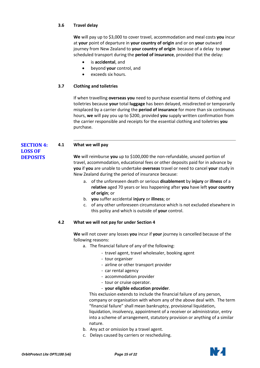#### **3.6 Travel delay**

<span id="page-14-0"></span>**We** will pay up to \$3,000 to cover travel, accommodation and meal costs **you** incur at **your** point of departure in **your country of origin** and or on **your** outward journey from New Zealand to **your country of origin** because of a delay to **your** scheduled transport during the **period of insurance**, provided that the delay:

- is **accidental**, and
- beyond **your** control, and
- exceeds six hours.

#### **3.7 Clothing and toiletries**

<span id="page-14-1"></span>If when travelling **overseas you** need to purchase essential items of clothing and toiletries because **your** total **luggage** has been delayed, misdirected or temporarily misplaced by a carrier during the **period of insurance** for more than six continuous hours, **we** will pay you up to \$200, provided **you** supply written confirmation from the carrier responsible and receipts for the essential clothing and toiletries **you** purchase.

#### <span id="page-14-2"></span>**SECTION 4: 4.1 What we will pay**

**LOSS OF DEPOSITS**

<span id="page-14-3"></span>**We** will reimburse **you** up to \$100,000 the non-refundable, unused portion of travel, accommodation, educational fees or other deposits paid for in advance by **you** if **you** are unable to undertake **overseas** travel or need to cancel **your** study in New Zealand during the period of insurance because:

- a. of the unforeseen death or serious **disablement** by **injury** or **illness** of a **relative** aged 70 years or less happening after **you** have left **your country of origin**; or
- b. **you** suffer accidental **injury** or **illness**; or
- c. of any other unforeseen circumstance which is not excluded elsewhere in this policy and which is outside of **your** control.

#### **4.2 What we will not pay for under Section 4**

<span id="page-14-4"></span>**We** will not cover any losses **you** incur if **your** journey is cancelled because of the following reasons:

- a. The financial failure of any of the following:
	- travel agent, travel wholesaler, booking agent
	- tour organiser
	- airline or other transport provider
	- car rental agency
	- accommodation provider
	- tour or cruise operator.
	- **your eligible education provider**.

This exclusion extends to include the financial failure of any person, company or organisation with whom any of the above deal with. The term "financial failure" shall mean bankruptcy, provisional liquidation, liquidation, insolvency, appointment of a receiver or administrator, entry into a scheme of arrangement, statutory provision or anything of a similar nature.

- b. Any act or omission by a travel agent.
- c. Delays caused by carriers or rescheduling.

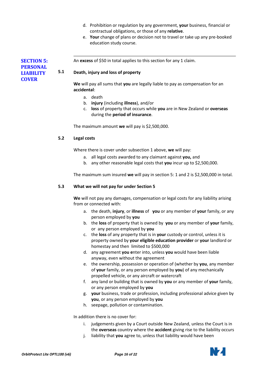- d. Prohibition or regulation by any government, **your** business, financial or contractual obligations, or those of any **relative**.
- e. **Your** change of plans or decision not to travel or take up any pre-booked education study course.

<span id="page-15-1"></span>An **excess** of \$50 in total applies to this section for any 1 claim.

#### **5.1 Death, injury and loss of property**

**We** will pay all sums that **you** are legally liable to pay as compensation for an **accidental**:

- a. death
- b. **injury** (including **illness**), and/or
- c. **loss** of property that occurs while **you** are in New Zealand or **overseas** during the **period of insurance**.

<span id="page-15-2"></span>The maximum amount **we** will pay is \$2,500,000.

#### **5.2 Legal costs**

Where there is cover under subsection 1 above, **we** will pay:

- a. all legal costs awarded to any claimant against **you,** and
- b. any other reasonable legal costs that **you** incur up to \$2,500,000.

<span id="page-15-3"></span>The maximum sum insured **we** will pay in section 5: 1 and 2 is \$2,500,000 in total.

#### **5.3 What we will not pay for under Section 5**

**We** will not pay any damages, compensation or legal costs for any liability arising from or connected with:

- a. the death, **injury**, or **illness** of **you** or any member of **your** family, or any person employed by **you**
- b. the **loss** of property that is owned by **you** or any member of **your** family, or any person employed by **you**
- c. the **loss** of any property that is in **your** custody or control, unless it is property owned by **your eligible education provider** or **your** landlord or homestay and then limited to \$500,000
- d. any agreement **you e**nter into, unless **you** would have been liable anyway, even without the agreement
- e. the ownership, possession or operation of (whether by **you**, any member of **your** family, or any person employed by **you**) of any mechanically propelled vehicle, or any aircraft or watercraft
- f. any land or building that is owned by **you** or any member of **your** family, or any person employed by **you**
- g. **your** business, trade or profession, including professional advice given by **you**, or any person employed by **you**
- h. seepage, pollution or contamination.

In addition there is no cover for:

- i. judgements given by a Court outside New Zealand, unless the Court is in the **overseas** country where the **accident** giving rise to the liability occurs
- j. liability that **you** agree to, unless that liability would have been



<span id="page-15-0"></span>**SECTION 5: PERSONAL LIABILITY COVER**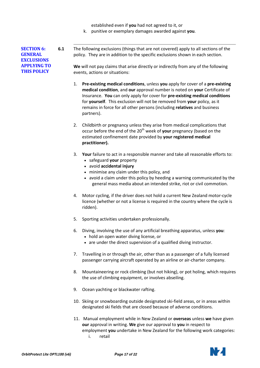established even if **you** had not agreed to it, or

k. punitive or exemplary damages awarded against **you**.

<span id="page-16-0"></span>**SECTION 6: GENERAL EXCLUSIONS APPLYING TO THIS POLICY**

**6.1** The following exclusions (things that are not covered) apply to all sections of the policy. They are in addition to the specific exclusions shown in each section.

**We** will not pay claims that arise directly or indirectly from any of the following events, actions or situations:

- 1. **Pre-existing medical conditions**, unless **you** apply for cover of a **pre-existing medical condition**, and **our** approval number is noted on **your** Certificate of Insurance. **You** can only apply for cover for **pre-existing medical conditions** for **yourself**. This exclusion will not be removed from **your** policy, as it remains in force for all other persons (including **relatives** and business partners).
- 2. Childbirth or pregnancy unless they arise from medical complications that occur before the end of the 20<sup>th</sup> week of your pregnancy (based on the estimated confinement date provided by **your registered medical practitioner).**
- 3. **Your** failure to act in a responsible manner and take all reasonable efforts to:
	- safeguard **your** property
	- avoid **accidental injury**
	- minimise any claim under this policy, and
	- avoid a claim under this policy by heeding a warning communicated by the general mass media about an intended strike, riot or civil commotion.
- 4. Motor cycling, if the driver does not hold a current New Zealand motor-cycle licence (whether or not a license is required in the country where the cycle is ridden).
- 5. Sporting activities undertaken professionally.
- 6. Diving, involving the use of any artificial breathing apparatus, unless **you**:
	- hold an open water diving license, or
	- are under the direct supervision of a qualified diving instructor.
- 7. Travelling in or through the air, other than as a passenger of a fully licensed passenger carrying aircraft operated by an airline or air-charter company.
- 8. Mountaineering or rock climbing (but not hiking), or pot holing, which requires the use of climbing equipment, or involves abseiling.
- 9. Ocean yachting or blackwater rafting.
- 10. Skiing or snowboarding outside designated ski-field areas, or in areas within designated ski fields that are closed because of adverse conditions.
- 11. Manual employment while in New Zealand or **overseas** unless **we** have given **our** approval in writing. **We** give our approval to **you** in respect to employment **you** undertake in New Zealand for the following work categories: i. retail

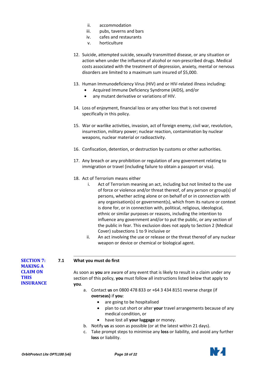- ii. accommodation<br>iii. pubs. taverns an
- pubs, taverns and bars
- iv. cafes and restaurants
- v. horticulture
- 12. Suicide, attempted suicide, sexually transmitted disease, or any situation or action when under the influence of alcohol or non-prescribed drugs. Medical costs associated with the treatment of depression, anxiety, mental or nervous disorders are limited to a maximum sum insured of \$5,000.
- 13. Human Immunodeficiency Virus (HIV) and or HIV-related illness including:
	- Acquired Immune Deficiency Syndrome (AIDS), and/or
	- any mutant derivative or variations of HIV.
- 14. Loss of enjoyment, financial loss or any other loss that is not covered specifically in this policy.
- 15. War or warlike activities, invasion, act of foreign enemy, civil war, revolution, insurrection, military power; nuclear reaction, contamination by nuclear weapons, nuclear material or radioactivity.
- 16. Confiscation, detention, or destruction by customs or other authorities.
- 17. Any breach or any prohibition or regulation of any government relating to immigration or travel (including failure to obtain a passport or visa).
- 18. Act of Terrorism means either
	- i. Act of Terrorism meaning an act, including but not limited to the use of force or violence and/or threat thereof, of any person or group(s) of persons, whether acting alone or on behalf of or in connection with any organisation(s) or government(s), which from its nature or context is done for, or in connection with, political, religious, ideological, ethnic or similar purposes or reasons, including the intention to influence any government and/or to put the public, or any section of the public in fear. This exclusion does not apply to Section 2 (Medical Cover) subsections 1 to 9 inclusive or
	- ii. An act involving the use or release or the threat thereof of any nuclear weapon or device or chemical or biological agent.

#### **7.1 What you must do first**

<span id="page-17-0"></span>**SECTION 7: MAKING A CLAIM ON THIS INSURANCE**

- <span id="page-17-1"></span>As soon as **you** are aware of any event that is likely to result in a claim under any section of this policy, **you** must follow all instructions listed below that apply to **you**.
	- a. Contact **us** on 0800 478 833 or +64 3 434 8151 reverse charge (if **overseas)** if **you**:
		- are going to be hospitalised
		- plan to cut short or alter **your** travel arrangements because of any medical condition, or
		- have lost all **your luggage** or money.
	- b. Notify **us** as soon as possible (or at the latest within 21 days).
	- c. Take prompt steps to minimise any **loss** or liability, and avoid any further **loss** or liability.

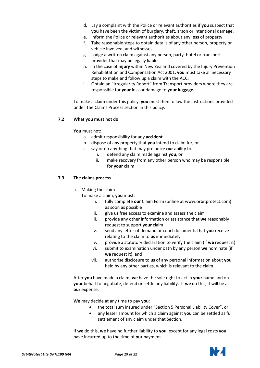- d. Lay a complaint with the Police or relevant authorities if **you** suspect that **you** have been the victim of burglary, theft, arson or intentional damage.
- e. Inform the Police or relevant authorities about any **loss** of property.
- f. Take reasonable steps to obtain details of any other person, property or vehicle involved, and witnesses.
- g. Lodge a written claim against any person, party, hotel or transport provider that may be legally liable.
- h. In the case of **injury** within New Zealand covered by the Injury Prevention Rehabilitation and Compensation Act 2001, **you** must take all necessary steps to make and follow up a claim with the ACC.
- i. Obtain an "Irregularity Report" from Transport providers where they are responsible for **your** loss or damage to **your luggage.**

To make a claim under this policy, **you** must then follow the instructions provided under The Claims Process section in this policy.

#### **7.2 What you must not do**

#### <span id="page-18-0"></span>**You** must not:

- a. admit responsibility for any **accident**
- b. dispose of any property that **you** intend to claim for, or
- c. say or do anything that may prejudice **our** ability to:
	- i. defend any claim made against **you**, or
	- ii. make recovery from any other person who may be responsible for **your** claim.

#### **7.3 The claims process**

<span id="page-18-1"></span>a. Making the claim

To make a claim, **you** must:

- i. fully complete **our** Claim Form (online at www.orbitprotect.com) as soon as possible
- ii. give **us** free access to examine and assess the claim
- iii. provide any other information or assistance that **we** reasonably request to support **your** claim
- iv. send any letter of demand or court documents that **you** receive relating to the claim to **us** immediately
- v. provide a statutory declaration to verify the claim (if **we** request it)
- vi. submit to examination under oath by any person **we** nominate (if **we** request it), and
- vii. authorise disclosure to **us** of any personal information about **you** held by any other parties, which is relevant to the claim.

After **you** have made a claim, **we** have the sole right to act in **your** name and on **your** behalf to negotiate, defend or settle any liability. If **we** do this, it will be at **our** expense.

**We** may decide at any time to pay **you**:

- the total sum insured under "Section 5 Personal Liability Cover", or
- any lesser amount for which a claim against **you** can be settled as full settlement of any claim under that Section.

If **we** do this, **we** have no further liability to **you**, except for any legal costs **you** have incurred up to the time of **our** payment.

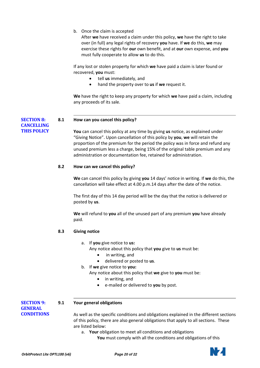b. Once the claim is accepted

After **we** have received a claim under this policy, **we** have the right to take over (in full) any legal rights of recovery **you** have. If **we** do this, **we** may exercise these rights for **our** own benefit, and at **our** own expense, and **you** must fully cooperate to allow **us** to do this.

If any lost or stolen property for which **we** have paid a claim is later found or recovered, **you** must:

- tell **us** immediately, and
- hand the property over to **us** if **we** request it.

**We** have the right to keep any property for which **we** have paid a claim, including any proceeds of its sale.

<span id="page-19-0"></span>**SECTION 8: 8.1 How can you cancel this policy?**

> <span id="page-19-1"></span>**You** can cancel this policy at any time by giving **us** notice, as explained under "Giving Notice". Upon cancellation of this policy by **you**, **we** will retain the proportion of the premium for the period the policy was in force and refund any unused premium less a charge, being 15% of the original table premium and any administration or documentation fee, retained for administration.

#### **8.2 How can we cancel this policy?**

<span id="page-19-2"></span>**We** can cancel this policy by giving **you** 14 days' notice in writing. If **we** do this, the cancellation will take effect at 4.00 p.m.14 days after the date of the notice.

The first day of this 14 day period will be the day that the notice is delivered or posted by **us**.

**We** will refund to **you** all of the unused part of any premium **you** have already paid.

#### <span id="page-19-3"></span>**8.3 Giving notice**

a. If **you** give notice to **us:**

Any notice about this policy that **you** give to **us** must be:

- in writing, and
- delivered or posted to **us**.
- b. If **we** give notice to **you:**

Any notice about this policy that **we** give to **you** must be:

- in writing, and
- e-mailed or delivered to **you** by post.

<span id="page-19-4"></span>**SECTION 9: 9.1 Your general obligations**

**GENERAL CONDITIONS**

**CANCELLING THIS POLICY**

> <span id="page-19-5"></span>As well as the specific conditions and obligations explained in the different sections of this policy, there are also general obligations that apply to all sections. These are listed below:

a. **Your** obligation to meet all conditions and obligations

**You** must comply with all the conditions and obligations of this

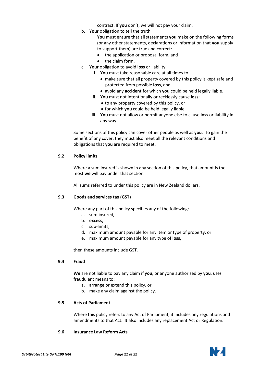contract. If **you** don't, we will not pay your claim.

b. **Your** obligation to tell the truth

**You** must ensure that all statements **you** make on the following forms (or any other statements, declarations or information that **you** supply to support them) are true and correct:

- the application or proposal form, and
- the claim form.
- c. **Your** obligation to avoid **loss** or liability
	- i. **You** must take reasonable care at all times to:
		- make sure that all property covered by this policy is kept safe and protected from possible **loss,** and
		- avoid any **accident** for which **you** could be held legally liable.
	- ii. **You** must not intentionally or recklessly cause **loss**:
		- to any property covered by this policy, or
		- for which **you** could be held legally liable.
	- iii. **You** must not allow or permit anyone else to cause **loss** or liability in any way.

Some sections of this policy can cover other people as well as **you**. To gain the benefit of any cover, they must also meet all the relevant conditions and obligations that **you** are required to meet.

#### **9.2 Policy limits**

<span id="page-20-0"></span>Where a sum insured is shown in any section of this policy, that amount is the most **we** will pay under that section.

<span id="page-20-1"></span>All sums referred to under this policy are in New Zealand dollars.

#### **9.3 Goods and services tax (GST)**

Where any part of this policy specifies any of the following:

- a. sum insured,
- b. **excess,**
- c. sub-limits,
- d. maximum amount payable for any item or type of property, or
- e. maximum amount payable for any type of **loss,**

<span id="page-20-2"></span>then these amounts include GST.

#### **9.4 Fraud**

**We** are not liable to pay any claim if **you**, or anyone authorised by **you**, uses fraudulent means to:

- a. arrange or extend this policy, or
- b. make any claim against the policy.

#### **9.5 Acts of Parliament**

<span id="page-20-3"></span>Where this policy refers to any Act of Parliament, it includes any regulations and amendments to that Act. It also includes any replacement Act or Regulation.

#### <span id="page-20-4"></span>**9.6 Insurance Law Reform Acts**